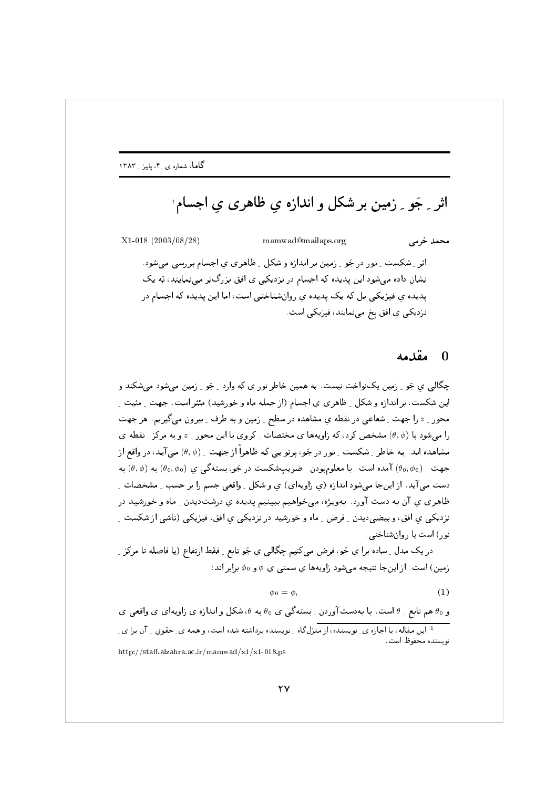اثر ۔ جَو ۔ زمین بر شکل و اندازہ ی ظاہری ی اجسام ٰ

 $X1-018$  (2003/08/28) mamwad@mailaps.org محمد خرمے اثر ِ شکست ِ نور در جَو ِ زمین بر اندازه و شکل ِ ظاهری ی اجسام بررسی می شود. نشان داده می شود این پدیده که اجسام در نزدیکی ی افق بزرگتر مینمایند، نَه یک یدیده ی فیزیکی بل که یک پدیده ی روانشناختی است، اما این پدیده که اجسام در نزدیکی ی افق یخ می نمایند، فیزیکی است.

#### مقدمه  $\Omega$

چگالي ي جَو ِ ِ زمين پکنواخت نيست. به همين خاطر نور ي که وارد \_ جَو ِ ِ زمين مي شود مي شکند و این شکست، بر اندازه و شکل ِ ظاهری ی اجسام (از جمله ماه و خورشید) مئثر است. جهت ِ مثبت ِ محور \_ z را جهت \_ شعاعي در نقطه ي مشاهده در سطح \_ زمين و به طرف \_ بيرون مي گيريم. هر جهت را می شود با (0, ¢) مشخص کرد، که زاویهها ی مختصات ِ کروی با این محور ِ z و به مرکزِ ِ نقطه ی مشاهده اند. به خاطر ِ شکست ِ نور در جَو، پرتو پی که ظاهراً از جهت ِ (0, 4) می آید، در واقع از جهت ِ (0, 00) آمده است. با معلومبودن ِ ضریبِشکست در جَو، بستهگی ی (0, 0, 0) به  $(\theta_0,\phi)$  به دست می آید. از اینجا می شود اندازه (ی زاویهای) ی و شکل ۱ واقعی جسم را بر حسب ۱ مشخصات ۱ ظاهری ی آن به دست آورد. بهویژه، می خواهیم ببینیم پدیده ی درشتدیدن ِ ماه و خورشید در نزدیکی ی افق، و بیضیدیدن ِ قرص ِ ماه و خورشید در نزدیکی ی افق، فیزیکی (ناشی از شکست ِ نور) است يا روان شناختى.

در یک مدل ِ ساده برا ی جَو، فرض میکنیم چگالی ی جَو تابع ِ فقط ارتفاع (یا فاصله تا مرکز ِ زمین) است. از اینجا نتیجه میشود زاویهها ی سمتی ی  $\phi$  و  $\phi$  برابر اند:

$$
\phi_0 = \phi,\tag{1}
$$

و 60 هم تابع \_ θ است. با بهدستآوردن \_ بستهگی ی 60 به θ، شکل و اندازه ی زاویهای ی واقعی ی ۔<br><sup>1</sup> این مقاله، با اجازہ ی ِ نویسندہ، از منزل گاہ ِ نویسندہ برداشته شدہ است، و همه ی ِ حقوق ِ ِ آن برا ی ِ نو بسنده محفوظ است. http://staff.alzahra.ac.ir/mamwad/x1/x1-018.ps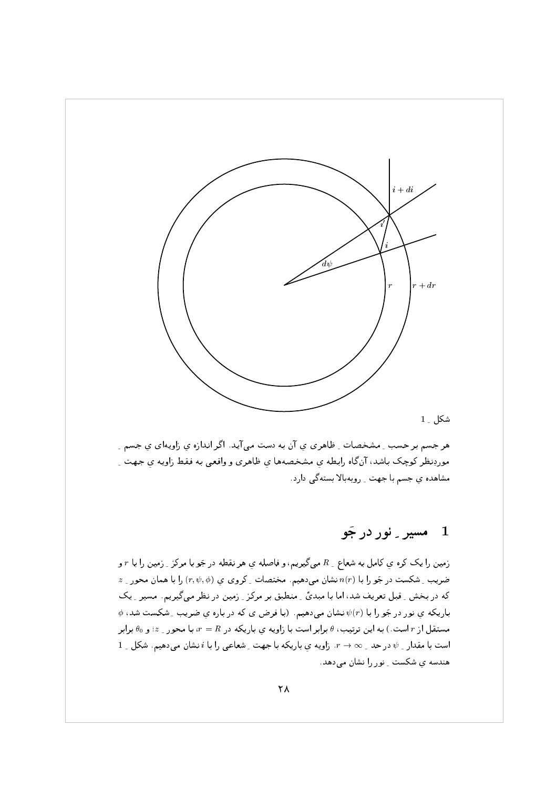

 64@ . .+ ; . ; 7 >0 ( + . . : <sup>B</sup> p/<V0 N45 64@ :  @ . + ; h, # + > - . : B . :+/<V 0 . <sup>+</sup> - !K & <sup>Q</sup> - 0 7- >+24 ^+ - @ 64@ . :V0

## $\bm{\tau}$ ,  $\bm{\tau}$  ,  $\bm{\tau}$  ,  $\bm{\tau}$  ,  $\bm{\tau}$  ,  $\bm{\tau}$

- المستحدث المستحدث المستقل المستقل المستحدث المستحدث المستحدث المستحدث المستحدث المستحدث المستحدث المستحدث ال - جنروی یا ۱۹۲۶ میلادی به این ۱۹۲۸ میلادی به است. - است از ۱۹۲۴ میلادی به سیاست از ۱۹۲۴ میلادی به سور از ۱۰۰۰  $\mu$ ! <sup>40</sup> 76 >0 Q - J 0; " & 0 \ <sup>0</sup> .T 0 0 = L F - < - +& لا المساوت المستول المستقبل المستقبل المستقبل المستقبل المستقبل المستقبل المستقبل المستقبل المستقبل المستقبل ا \_ - \*0 K - +P - . + ; ( N LL J + C7( ; F,240 FP 76:>0 V - > @ +P - . + ; 7 5 - - ,0 ( ي *- ددد* - ت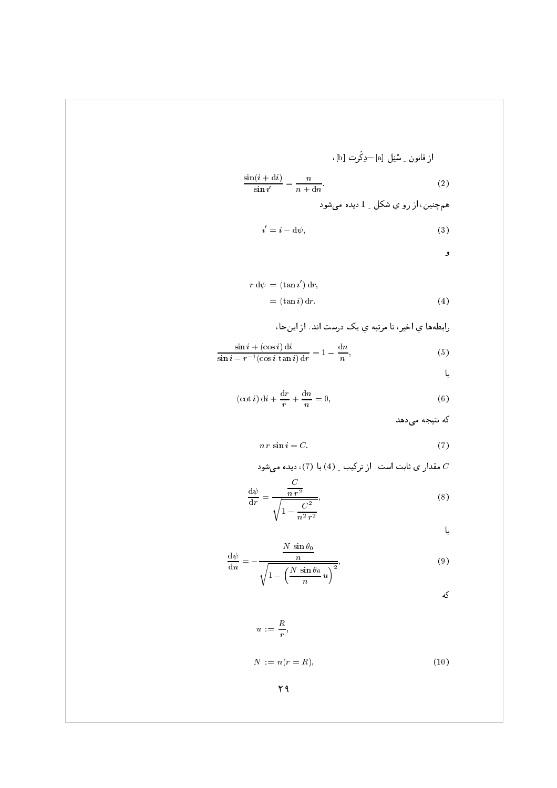ازقانون ۔ سُنِل [a] –دِکَرِت [a]  
\n
$$
\frac{\sin(i+di)}{\sin i'} = \frac{n}{n+dn}.
$$
\n(2)  
\n4. 
$$
\sin \frac{1}{n} = \frac{n}{n+dn}.
$$

$$
i' = i - d\psi,\tag{3}
$$

و

$$
r d\psi = (\tan i') dr,
$$
  
= (\tan i) dr. (4)

رابطهها ي اخیر، تا مرتبه ي یک درست اند. از اینجا،

$$
\frac{\sin i + (\cos i) \, \mathrm{d}i}{\sin i - r^{-1} (\cos i \, \tan i) \, \mathrm{d}r} = 1 - \frac{\mathrm{d}n}{n},\tag{5}
$$

یا

$$
(\cot i)\,\mathrm{d}i + \frac{\mathrm{d}r}{r} + \frac{\mathrm{d}n}{n} = 0,\tag{6}
$$

که نتیجه میدهد

$$
n r \sin i = C. \tag{7}
$$

مقدار ی ثابت است. از ترکیب ِ (4) با (7)، دیده میشود  $C$  $\overline{C}$ 

$$
\frac{\mathrm{d}\psi}{\mathrm{d}r} = \frac{\frac{C}{n r^2}}{\sqrt{1 - \frac{C^2}{n^2 r^2}}},\tag{8}
$$

یا

$$
\frac{d\psi}{du} = -\frac{\frac{N\sin\theta_0}{n}}{\sqrt{1 - \left(\frac{N\sin\theta_0}{n}u\right)^2}},\tag{9}
$$

که

 $u := \frac{R}{r},$ 

 $N := n(r = R),$  $(10)$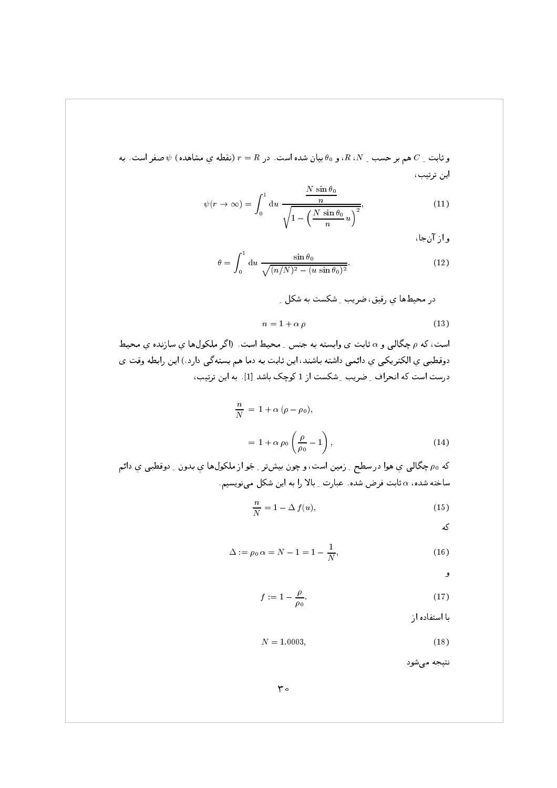و ثابت \_ C هم بر حسب \_ R ،N، و  $\theta_0$  بيان شده است. در  $r=R$  (نقطه ي مشاهده)  $\psi$  صفر است. به اين ترتيب،

$$
\psi(r \to \infty) = \int_0^1 du \, \frac{\frac{N \sin \theta_0}{n}}{\sqrt{1 - \left(\frac{N \sin \theta_0}{n} u\right)^2}},\tag{11}
$$

و از آن جا،

$$
\theta = \int_0^1 \mathrm{d}u \, \frac{\sin \theta_0}{\sqrt{(n/N)^2 - (u \sin \theta_0)^2}}.
$$
\n(12)

$$
n = 1 + \alpha \rho \tag{13}
$$

است، که  $\rho$  چگالبی و a ثابت ی وابسته به جنس ِ محیط است. (اگر ملکولها ی سازنده ی محیط دوقطبی ی الکتریکی ی دائمی داشته باشند، این ثابت به دما هم بستهگی دارد.) این رابطه وقت ی درست است که انحراف ِ ضریب ِ شکست از 1 کوچک باشد [1]. به این ترتیب،

$$
\frac{n}{N} = 1 + \alpha (\rho - \rho_0),
$$
  
= 1 + \alpha \rho\_0 \left( \frac{\rho}{\rho\_0} - 1 \right), (14)

که <sub>90</sub> چگالي ي هوا در سطح <sub>-</sub> زمين است، و چون بيشتر <sub>-</sub> جَو از ملکولها ي بدون <sub>-</sub> دوقطبي ي دائم ساخته شده، c ثابت فرض شده. عبارت ـ بالا را به این شکل می نویسیم.

$$
\frac{n}{N} = 1 - \Delta f(u),\tag{15}
$$

که

$$
\Delta := \rho_0 \, \alpha = N - 1 = 1 - \frac{1}{N}, \tag{16}
$$

و

$$
f := 1 - \frac{\rho}{\rho_0}.\tag{17}
$$

با استفاده از

$$
N = 1.0003, \t(18)
$$

نتيجه مى شود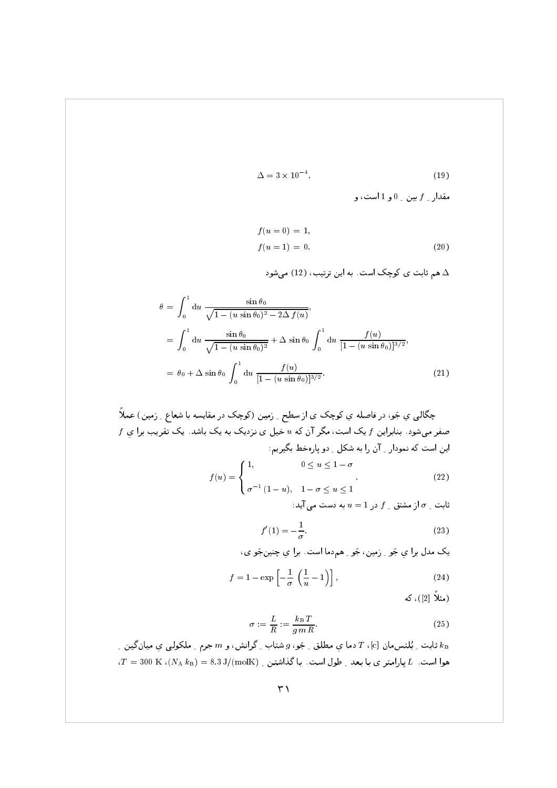$$
\Delta = 3 \times 10^{-4}.\tag{19}
$$

مقدار <sub>-</sub>  $f$ بين <sub>-</sub> 0 و 1 است، و

$$
f(u = 0) = 1,f(u = 1) = 0.
$$
 (20)

هم ثابت ی کوچک است. به این ترتیب، (12) میشود A

$$
\theta = \int_0^1 du \frac{\sin \theta_0}{\sqrt{1 - (u \sin \theta_0)^2 - 2\Delta f(u)}},
$$
  
\n
$$
= \int_0^1 du \frac{\sin \theta_0}{\sqrt{1 - (u \sin \theta_0)^2}} + \Delta \sin \theta_0 \int_0^1 du \frac{f(u)}{[1 - (u \sin \theta_0)]^{3/2}},
$$
  
\n
$$
= \theta_0 + \Delta \sin \theta_0 \int_0^1 du \frac{f(u)}{[1 - (u \sin \theta_0)]^{3/2}}.
$$
\n(21)

$$
f(u) = \begin{cases} 1, & 0 \le u \le 1 - \sigma \\ \sigma^{-1} (1 - u), & 1 - \sigma \le u \le 1 \end{cases}
$$
 (22)

ثابت  $\sigma$  از مشتق  $f$  در  $u=1$  به دست می آید $\sigma$ 

$$
f'(1) = -\frac{1}{\sigma}.\tag{23}
$$

يک مدل برا ي جَو ِ زمين، جَو ِ هم دما است. برا ي چنينجَو ی،

$$
f = 1 - \exp\left[-\frac{1}{\sigma} \left(\frac{1}{u} - 1\right)\right],\tag{24}
$$

(مثلاً [2])، كه

$$
\sigma := \frac{L}{R} := \frac{k_{\rm B} T}{g m R}.
$$
\n(25)

ثابت ِ بُلتس مان [c]،  $T$  دما ی مطلق ِ جَو،  $g$  شتاب ِ گرانش، و  $m$  جرم ِ ملکولی ی میانگین ِ  $k_{\rm B}$  $T = 300\,$  K ( $(N_{\rm A}\,k_{\rm B}) = 8.3\,{\rm J/(molK)}$  هوا است.  $d$  طول است. با گذاشتن ر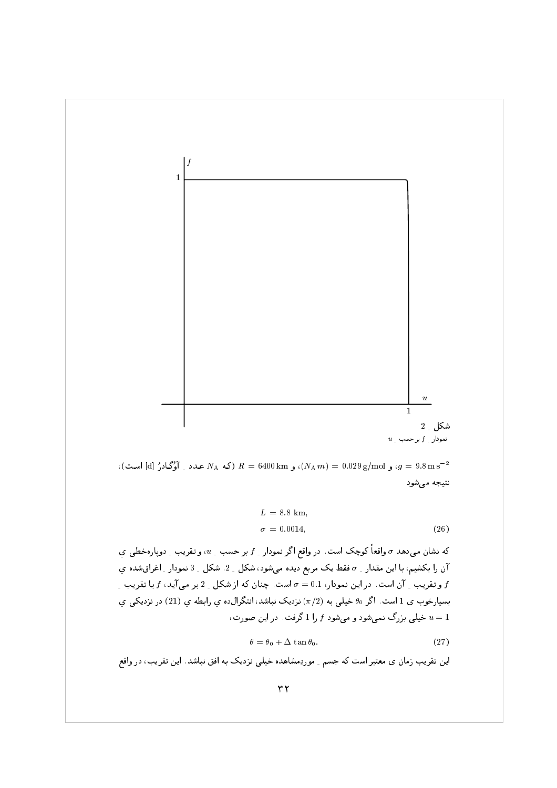

، و 9.029  $g/mol$ )، و  $R = 6400 \text{ km}$ )، و 6400  $R = 6400 \text{ km}$  عدد ِ آؤگادرُ [d] است)،  $g = 9.8 \text{ m s}^{-2}$ نتيجه مى شود

$$
L = 8.8 \text{ km},
$$
  
\n
$$
\sigma = 0.0014,
$$
\n(26)

که نشان میدهد  $\sigma$  واقعاً کوچک است. در واقع اگر نمودار <sub>ـ</sub>  $f$  بر حسب ِ  $u$ ، و تقریب ِ دوپارهخطی یِ آن را بكشيم، با اين مقدار \_ o فقط يك مربع ديده مىشود، شكل \_ 2. شكل \_ 3 نمودار \_ اغراق شده ي و تقریب <sub>-</sub> آن است. در این نمودار، 0.1 = o است. چنان که از شکل <sub>-</sub> 2 بر می آید، f با تقریب <sub>-</sub> بسیارخوب ی 1 است. اگر ه $\theta$  خیلی به  $(\pi/2)$  نزدیک نباشد، انتگرال5ده ی رابطه ی (21) در نزدیکی ی خیلی بزرگ نمیشود و میشود  $f$  را 1 گرفت. در این صورت،  $u=1$ 

$$
\theta = \theta_0 + \Delta \tan \theta_0. \tag{27}
$$

این تقریب زمان ی معتبر است که جسم <sub>-</sub> موردِمشاهده خیلی نزدیک به افق نباشد. این تقریب، در واقع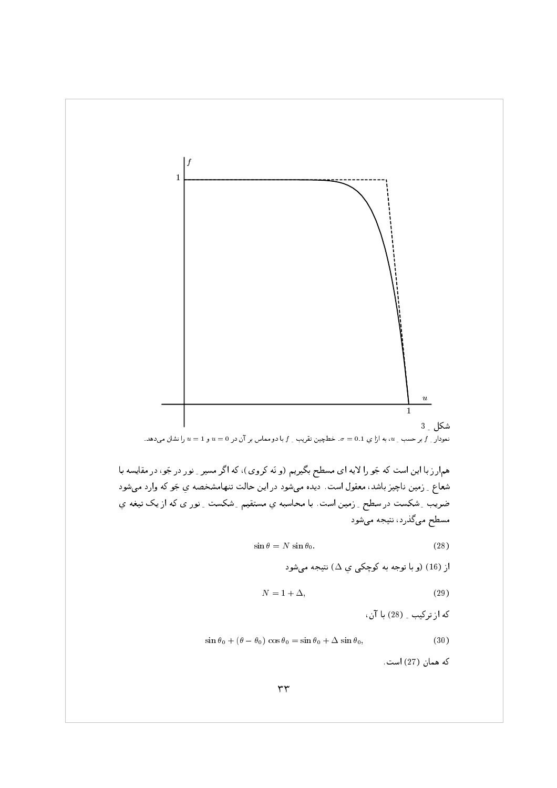

هم|رز با این است که جَو را لایه ای مسطح بگیریم (و نَه کروی)، که اگر مسیر ِ نور در جَو، در مقایسه با شعاع ِ ِ زمین ناچیز باشد، معقول است. دیده میشود در این حالت تنهامشخصه یِ جَو که وارد میشود ضریب ِ شکست در سطح ِ ِ زمین است. با محاسبه یِ مستقیم ِ شکست ِ نور ی که از یک تیغه یِ مسطح میگذرد، نتیجه میشود

$$
\sin \theta = N \sin \theta_0. \tag{28}
$$

$$
N = 1 + \Delta,\tag{29}
$$

كه از تركيب \_ (28) با آن،

$$
\sin \theta_0 + (\theta - \theta_0) \cos \theta_0 = \sin \theta_0 + \Delta \sin \theta_0, \tag{30}
$$

كه همان (27) است.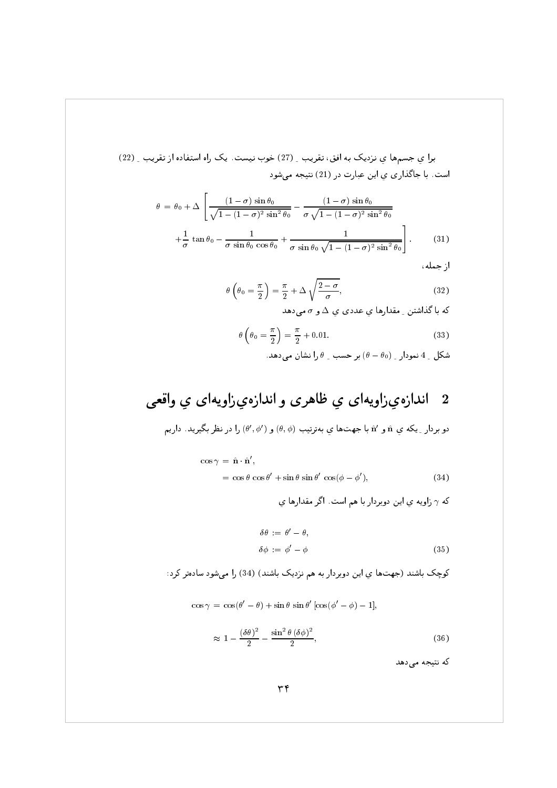برا ی جسمها ی نزدیک به افق، تقریب ِ (27) خوب نیست. یک راه استفاده از تقریب ِ (22) است. با جاگذاری ی این عبارت در (21) نتیجه میشود

$$
\theta = \theta_0 + \Delta \left[ \frac{(1-\sigma)\sin\theta_0}{\sqrt{1-(1-\sigma)^2\sin^2\theta_0}} - \frac{(1-\sigma)\sin\theta_0}{\sigma\sqrt{1-(1-\sigma)^2\sin^2\theta_0}} + \frac{1}{\sigma \tan\theta_0} - \frac{1}{\sigma\sin\theta_0\cos\theta_0} + \frac{1}{\sigma\sin\theta_0\sqrt{1-(1-\sigma)^2\sin^2\theta_0}} \right].
$$
\n(31)

از جمله،

$$
\theta\left(\theta_0 = \frac{\pi}{2}\right) = \frac{\pi}{2} + \Delta\sqrt{\frac{2-\sigma}{\sigma}},\tag{32}
$$

که با گذاشتن ِ مقدارها ی عددی ی  $\Delta$  و  $\sigma$  میدهد

$$
\theta \left( \theta_0 = \frac{\pi}{2} \right) = \frac{\pi}{2} + 0.01. \tag{33}
$$

شکل ہے 4 نمودار ہ
$$
(\theta - \theta_0)
$$
بر حسب ہ ہا را نشان میدهد.

### اندازهىزاويهاى ى ظاهرى و اندازهىزاويهاى ى واقعى  $\overline{\mathbf{2}}$

$$
\mathfrak{c}_\mathfrak{e}
$$
 بردار 
$$
\mathfrak{e}_\mathfrak{e}
$$
ه 
$$
\mathfrak{e}_\mathfrak{e}
$$
دول
$$
(\theta',\phi')\mathfrak{e}_\mathfrak{e}
$$
ه 
$$
\mathfrak{e}_\mathfrak{e}
$$

$$
\cos \gamma = \hat{\mathbf{n}} \cdot \hat{\mathbf{n}}',
$$
  
=  $\cos \theta \cos \theta' + \sin \theta \sin \theta' \cos(\phi - \phi'),$  (34)

که  $\gamma$  زاویه ی این دوبردار با هم است. اگر مقدارها ی

$$
\delta \theta := \theta' - \theta,
$$
  
\n
$$
\delta \phi := \phi' - \phi
$$
\n(35)

کوچک باشند (جهتها ی این دوبردار به هم نزدیک باشند) (34) را می شود سادهتر کرد:

$$
\cos \gamma = \cos(\theta' - \theta) + \sin \theta \sin \theta' [\cos(\phi' - \phi) - 1],
$$
  

$$
\approx 1 - \frac{(\delta \theta)^2}{2} - \frac{\sin^2 \theta (\delta \phi)^2}{2},
$$
 (36)

که نتیجه میدهد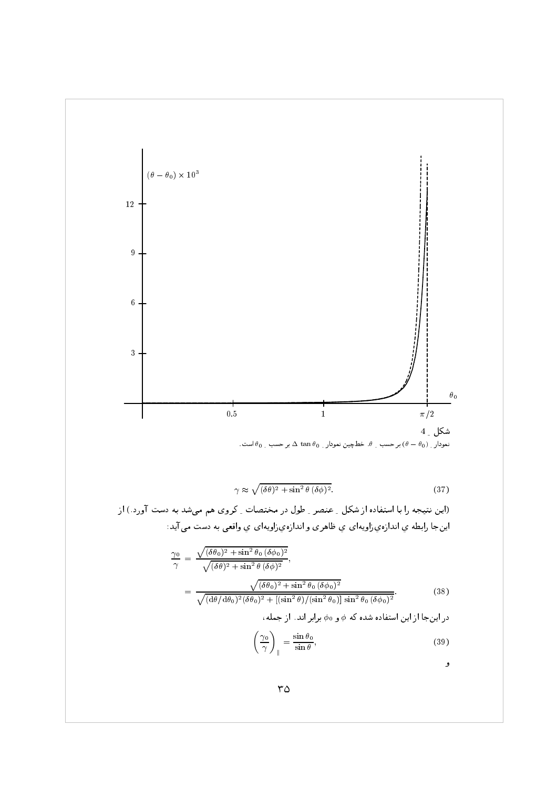

$$
\gamma \approx \sqrt{(\delta \theta)^2 + \sin^2 \theta \, (\delta \phi)^2}.\tag{37}
$$

(این نتیجه را با استفاده از شکل \_ عنصر \_ طول در مختصات \_ کروی هم میشد به دست آورد.) از اینجا رابطه ی اندازه یزاویهای ی ظاهری و اندازهیزاویهای ی واقعی به دست می آید:

$$
\frac{\gamma_0}{\gamma} = \frac{\sqrt{(\delta\theta_0)^2 + \sin^2\theta_0 (\delta\phi_0)^2}}{\sqrt{(\delta\theta)^2 + \sin^2\theta (\delta\phi)^2}},
$$
\n
$$
= \frac{\sqrt{(\delta\theta_0)^2 + \sin^2\theta_0 (\delta\phi_0)^2}}{\sqrt{(\mathrm{d}\theta/\mathrm{d}\theta_0)^2(\delta\theta_0)^2 + [(\sin^2\theta)/(\sin^2\theta_0)]\sin^2\theta_0 (\delta\phi_0)^2}}.
$$
\n(38)

در اینجا از این استفاده شده که  $\phi$  و  $\phi$  برابر اند. از جمله،

$$
\left(\frac{\gamma_0}{\gamma}\right)_{\parallel} = \frac{\sin \theta_0}{\sin \theta},\tag{39}
$$

و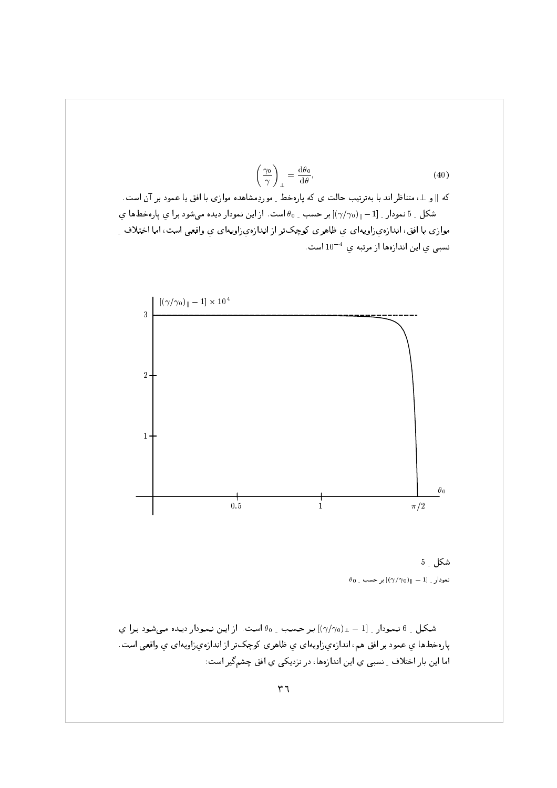$$
\left(\frac{\gamma_0}{\gamma}\right)_{\perp} = \frac{\mathrm{d}\theta_0}{\mathrm{d}\theta},\tag{40}
$$

که ∥ و ⊥، متناظر اند با بهترتیب حالت ی که پارهخط ِ موردِمشاهده موازی با افق یا عمود بر آن است. شکل \_ 5 نمودار \_  $[-1]$  =  $(\gamma/\gamma_0)_\parallel$ بر حسب \_ 90 است. از این نمودار دیده می شود برا ی پارهخطها ی موازي با افق، اندازهي(اويهاي ي ظاهري كوچكتر از اندازهي(اويهاي ي واقعي است، اما اختلاف ِ نسبی ی این اندازهها از مرتبه ی $10^{-4}$  است.



شكل \_ 5  $\theta_0$   $\sim$   $\left[\left(\gamma/\gamma_0\right)_{\parallel}-1\right]_{\sim}$  نمودار  $\sim$  1

شكل \_ 6 نمودار \_  $[1 - \frac{1}{2} \gamma / 2]$ بر حسب \_ 00 است. از اين نمودار ديده مى شود برا ى پارهخطها ي عمود بر افق هم، اندازهيزاويهاي ي ظاهري كوچكتر از اندازهيزاويهاي ي واقعي است. اما این بار اختلاف ِ نسبی یِ این اندازهها، در نزدیکی یِ افق چشمگیر است: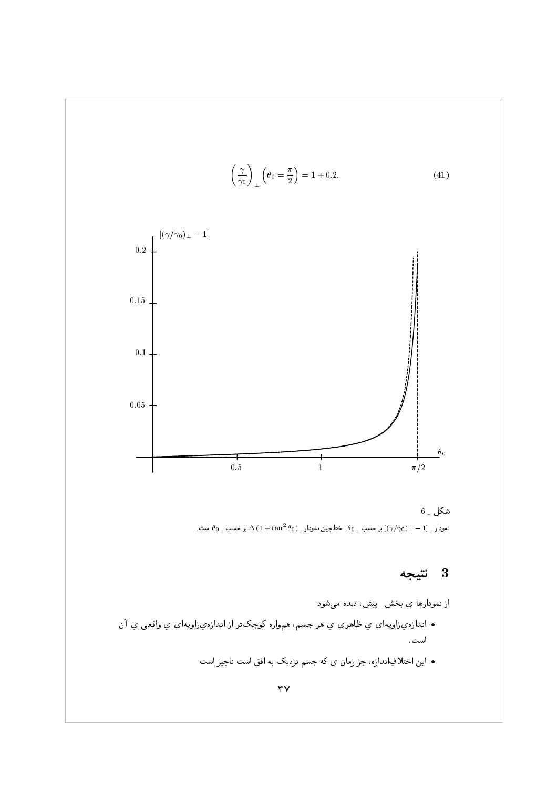$$
\left(\frac{\gamma}{\gamma_0}\right)_{\perp} \left(\theta_0 = \frac{\pi}{2}\right) = 1 + 0.2. \tag{41}
$$



شكل ۔ 6 نمودار ِ  $[1-\pm\sqrt{(\gamma_{0})}]$  بر حسب ِ  $\theta_{0}$ . خط چین نمودار ِ  $\Delta\left(1+\tan^{2}\theta_{0}\right)$  بر حسب ِ  $\theta_{0}$  است.

### $\bf{3}$ نتيجه

از نمودارها ي بخش \_ پيش، ديده ميشود

- اندازهيزاويهاي ي ظاهري ي هر جسم، همواره كوچكتر از اندازهيزاويهاي ي واقعي ي آن است.
	- این اختلافِاندازه، جز زمان ی که جسم نزدیک به افق است ناچیز است.